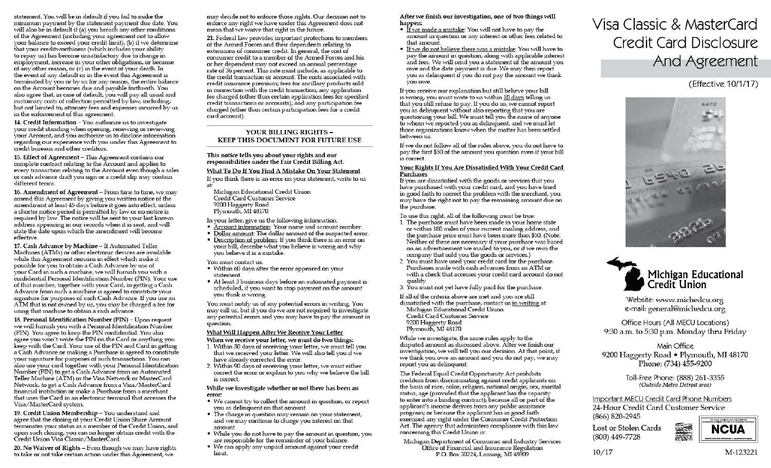statement. You will be in default if you fail to make the minimum payment by the statement payment due date. You will also be in default if (a) you breach any other conditions of the Agreement (including your agreement not to allow your balance to exceed your credit limit), (b) if we determine that your creditworthiness (which includes your ability to repay us) has become unsatisfactory due to change in employment, increase in your other obligations, or because of any other reason, or (c) in the event of your death. In the event of any default or in the event this Agreement is terminated by you or by us for any reason, the entire balance on the Account becomes due and payable forthwith. You also agree that, in case of default, you will pay all usual and customary costs of collection permitted by law, including, but not limited to, attorney fees and expenses incurred by us in the enforcement of this agreement.

14. Credit Information - You authorize us to investigate your credit standing when opening, renewing or reviewing your Account, and you authorize us to disclose information regarding our experience with you under this Agreement to credit bureaus and other creditors.

15. Effect of Agreement - This Agreement contains our complete contract relating to the Account and applies to every transaction relating to the Account even though a sales or cash advance draft you sign or a credit slip may contain different terms.

16. Amendment of Agreement - From time to time, we may amend this Agreement by giving you written notice of the amendment at least 45 days before it goes into effect, unless a shorter notice period is permitted by law or no notice is required by law. The notice will be sent to your last known address appearing in our records when it is sent, and will state the date upon which the amendment will become effective.

17. Cash Advance by Machine - If Automated Teller Machines (ATMs) or other electronic devices are available while this Agreement remains in effect which make it possible for you to obtain a Cash Advance by use of your Card in such a machine, we will furnish you with a confidential Personal Identification Number (PIN). Your use of that number, together with your Card, in getting a Cash Advance from such a machine is agreed to constitute your signature for purposes of such Cash Advance. If you use an ATM that is not owned by us, you may be charged a fee for using that machine to obtain a cash advance.

18. Personal Identification Number (PIN) - Upon request we will furnish you with a Personal Identification Number (PIN). You agree to keep the PIN confidential. You also agree you won't write the PIN on the Card or anything you keep with the Card. Your use of the PIN and Card in getting a Cash Advance or making a Purchase is agreed to constitute your signature for purposes of such transactions. You can also use your card together with your Personal Identification Number (PIN) to get a Cash Advance from an Automated Teller Machine (ATM) in the Visa Network or MasterCard Network, to get a Cash Advance from a Visa/MasterCard financial institution or make a Purchase from a merchant that uses the Card in an electronic terminal that accesses the Visa/MasterCard system.

19. Credit Union Membership - You understand and agree that the closing of your Credit Union Share Account terminates your status as a member of the Credit Union, and upon such closing, you can no longer obtain credit with the Credit Union Visa Classic/MasterCard.

20. No Waiver of Rights - Even though we may have rights to take or not take certain action under this Agreement, we

may decide not to enforce those rights. Our decision not to enforce any right we have under this Agreement does not mean that we waive that right in the future.

21. Federal law provides important protections to members of the Armed Forces and their dependents relating to extensions of consumer credit. In general, the cost of consumer credit to a member of the Armed Forces and his or her dependent may not exceed an annual percentage rate of 36 percent. This rate must include, as applicable to the credit transaction or account: The costs associated with credit insurance premium; fees for ancillary products sold in connection with the credit transaction; any application fee charged (other than certain application fees for specified credit transactions or accounts); and any participation fee charged (other than certain participation fees for a credit card account).

### YOUR BILLING RIGHTS -KEEP THIS DOCUMENT FOR FUTURE USE

### This notice tells you about your rights and our responsibilities under the Fair Credit Billing Act.

### What To Do If You Find A Mistake On Your Statement

If you think there is an error on your statement, write to us ati

Michigan Educational Credit Union Credit Card Customer Service 9200 Haggerty Road Plymouth. MI 48170

In your letter, give us the following information:

- Account information: Your name and account number.
- . Dollar amount: The dollar amount of the suspected error. • Description of problem: If you think there is an error on your bill, describe what you believe is wrong and why you believe it is a mistake.

You must contact us:

- Within 60 days after the error appeared on your statement.
- At least 3 business days before an automated payment is scheduled, if you want to stop payment on the amount you think is wrong.

You must notify us of any potential errors in writing. You may call us, but if you do we are not required to investigate any potential errors and you may have to pay the amount in question.

### What Will Happen After We Receive Your Letter

When we receive your letter, we must do two things:

- 1. Within 30 days of receiving your letter, we must tell you that we received your letter. We will also tell you if we have already corrected the error.
- 2. Within 90 days of receiving your letter, we must either correct the error or explain to you why we believe the bill is correct.

#### While we investigate whether or not there has been an error:

- We cannot try to collect the amount in question, or report you as delinguent on that amount.
- The charge in question may remain on your statement, and we may continue to charge you interest on that amount.
- While you do not have to pay the amount in question, you are responsible for the remainder of your balance.
- · We can apply any unpaid amount against your credit limit.

After we finish our investigation, one of two things will happen:

- . If we made a mistake: You will not have to pay the amount in question or any interest or other fees related to that amount.
- . If we do not believe there was a mistake: You will have to pay the amount in question, along with applicable interest and fees. We will send you a statement of the amount you owe and the date payment is due. We may then report you as delinquent if you do not pay the amount we think vou owe.

If you receive our explanation but still believe your bill is wrong, you must write to us within 10 days telling us that you still refuse to pay. If you do so, we cannot report you as delinquent without also reporting that you are questioning your bill. We must tell you the name of anyone to whom we reported you as delinquent, and we must let those organizations know when the matter has been settled between us.

If we do not follow all of the rules above, you do not have to pay the first \$50 of the amount you question even if your bill is correct.

### Your Rights If You Are Dissatisfied With Your Credit Card Purchases

If you are dissatisfied with the goods or services that you have purchased with your credit card, and you have tried in good faith to correct the problem with the merchant, you may have the right not to pay the remaining amount due on the purchase.

To use this right, all of the following must be true:

- 1. The purchase must have been made in your home state or within 100 miles of your current mailing address, and the purchase price must have been more than \$50. (Note: Neither of these are necessary if your purchase was based on an advertisement we mailed to you, or if we own the company that sold you the goods or services.)
- 2. You must have used your credit card for the purchase. Purchases made with cash advances from an ATM or with a check that accesses your credit card account do not qualify.
- 3. You must not yet have fully paid for the purchase.

If all of the criteria above are met and you are still

- dissatisfied with the purchase, contact us in writing at: Michigan Educational Credit Union Credit Card Customer Service 9200 Haggerty Road
- Plymouth, MI 48170 While we investigate, the same rules apply to the

disputed amount as discussed above. After we finish our investigation, we will tell you our decision. At that point, if we think you owe an amount and you do not pay, we may report you as delinquent.

The Federal Equal Credit Opportunity Act prohibits creditors from discriminating against credit applicants on the basis of race, color, religion, national origin, sex, marital status, age (provided that the applicant has the capacity to enter into a binding contract); because all or part of the applicant's income derives from any public assistance program; or because the applicant has in good faith exercised any right under the Consumer Credit Protection Act. The agency that administers compliance with this law concerning this Credit Union is:

Michigan Department of Consumer and Industry Services Office of Financial and Insurance Regulation P.O. Box 30224, Lansing, MI 48909

# Visa Classic & MasterCard **Credit Card Disclosure** And Agreement

## (Effective 10/1/17)





Website: www.michedcu.org e-mail: general@michedcu.org

Office Hours (All MECU Locations) 9:30 a.m. to 5:30 p.m. Monday thru Friday

### Main Office 9200 Haggerty Road • Plymouth, MI 48170 Phone: (734) 455-9200

Toll-Free Phone: (888) 261-3355 (Outside Metro Detroit area)

Important MECU Credit Card Phone Numbers 24-Hour Credit Card Customer Service (866) 820-2945

Lost or Stolen Cards (800) 449-7728

 $10/17$